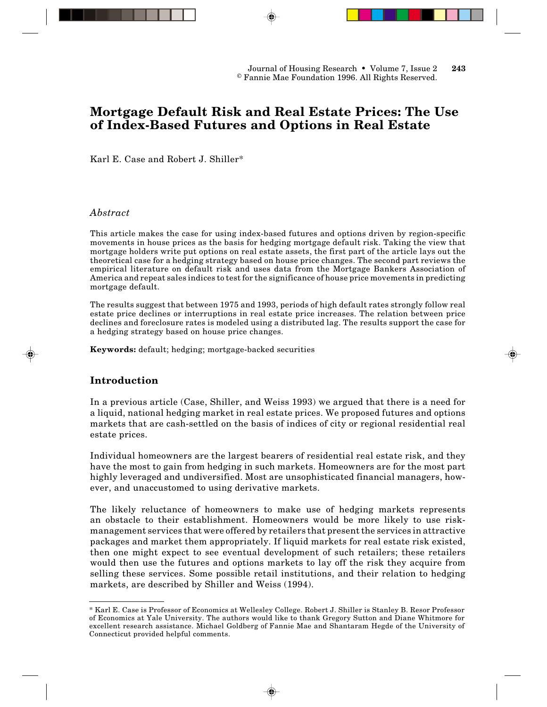# **Mortgage Default Risk and Real Estate Prices: The Use of Index-Based Futures and Options in Real Estate**

Karl E. Case and Robert J. Shiller\*

### *Abstract*

This article makes the case for using index-based futures and options driven by region-specific movements in house prices as the basis for hedging mortgage default risk. Taking the view that mortgage holders write put options on real estate assets, the first part of the article lays out the theoretical case for a hedging strategy based on house price changes. The second part reviews the empirical literature on default risk and uses data from the Mortgage Bankers Association of America and repeat sales indices to test for the significance of house price movements in predicting mortgage default.

The results suggest that between 1975 and 1993, periods of high default rates strongly follow real estate price declines or interruptions in real estate price increases. The relation between price declines and foreclosure rates is modeled using a distributed lag. The results support the case for a hedging strategy based on house price changes.

**Keywords:** default; hedging; mortgage-backed securities

## **Introduction**

In a previous article (Case, Shiller, and Weiss 1993) we argued that there is a need for a liquid, national hedging market in real estate prices. We proposed futures and options markets that are cash-settled on the basis of indices of city or regional residential real estate prices.

Individual homeowners are the largest bearers of residential real estate risk, and they have the most to gain from hedging in such markets. Homeowners are for the most part highly leveraged and undiversified. Most are unsophisticated financial managers, however, and unaccustomed to using derivative markets.

The likely reluctance of homeowners to make use of hedging markets represents an obstacle to their establishment. Homeowners would be more likely to use riskmanagement services that were offered by retailers that present the services in attractive packages and market them appropriately. If liquid markets for real estate risk existed, then one might expect to see eventual development of such retailers; these retailers would then use the futures and options markets to lay off the risk they acquire from selling these services. Some possible retail institutions, and their relation to hedging markets, are described by Shiller and Weiss (1994).

<sup>\*</sup> Karl E. Case is Professor of Economics at Wellesley College. Robert J. Shiller is Stanley B. Resor Professor of Economics at Yale University. The authors would like to thank Gregory Sutton and Diane Whitmore for excellent research assistance. Michael Goldberg of Fannie Mae and Shantaram Hegde of the University of Connecticut provided helpful comments.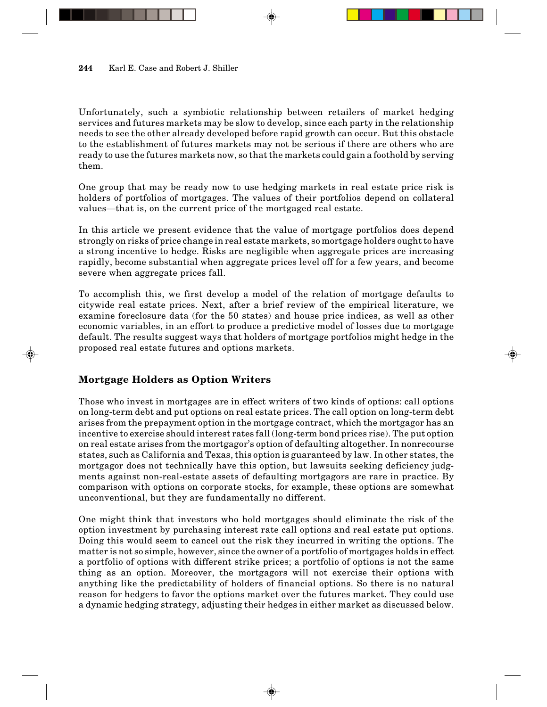Unfortunately, such a symbiotic relationship between retailers of market hedging services and futures markets may be slow to develop, since each party in the relationship needs to see the other already developed before rapid growth can occur. But this obstacle to the establishment of futures markets may not be serious if there are others who are ready to use the futures markets now, so that the markets could gain a foothold by serving them.

One group that may be ready now to use hedging markets in real estate price risk is holders of portfolios of mortgages. The values of their portfolios depend on collateral values—that is, on the current price of the mortgaged real estate.

In this article we present evidence that the value of mortgage portfolios does depend strongly on risks of price change in real estate markets, so mortgage holders ought to have a strong incentive to hedge. Risks are negligible when aggregate prices are increasing rapidly, become substantial when aggregate prices level off for a few years, and become severe when aggregate prices fall.

To accomplish this, we first develop a model of the relation of mortgage defaults to citywide real estate prices. Next, after a brief review of the empirical literature, we examine foreclosure data (for the 50 states) and house price indices, as well as other economic variables, in an effort to produce a predictive model of losses due to mortgage default. The results suggest ways that holders of mortgage portfolios might hedge in the proposed real estate futures and options markets.

# **Mortgage Holders as Option Writers**

Those who invest in mortgages are in effect writers of two kinds of options: call options on long-term debt and put options on real estate prices. The call option on long-term debt arises from the prepayment option in the mortgage contract, which the mortgagor has an incentive to exercise should interest rates fall (long-term bond prices rise). The put option on real estate arises from the mortgagor's option of defaulting altogether. In nonrecourse states, such as California and Texas, this option is guaranteed by law. In other states, the mortgagor does not technically have this option, but lawsuits seeking deficiency judgments against non-real-estate assets of defaulting mortgagors are rare in practice. By comparison with options on corporate stocks, for example, these options are somewhat unconventional, but they are fundamentally no different.

One might think that investors who hold mortgages should eliminate the risk of the option investment by purchasing interest rate call options and real estate put options. Doing this would seem to cancel out the risk they incurred in writing the options. The matter is not so simple, however, since the owner of a portfolio of mortgages holds in effect a portfolio of options with different strike prices; a portfolio of options is not the same thing as an option. Moreover, the mortgagors will not exercise their options with anything like the predictability of holders of financial options. So there is no natural reason for hedgers to favor the options market over the futures market. They could use a dynamic hedging strategy, adjusting their hedges in either market as discussed below.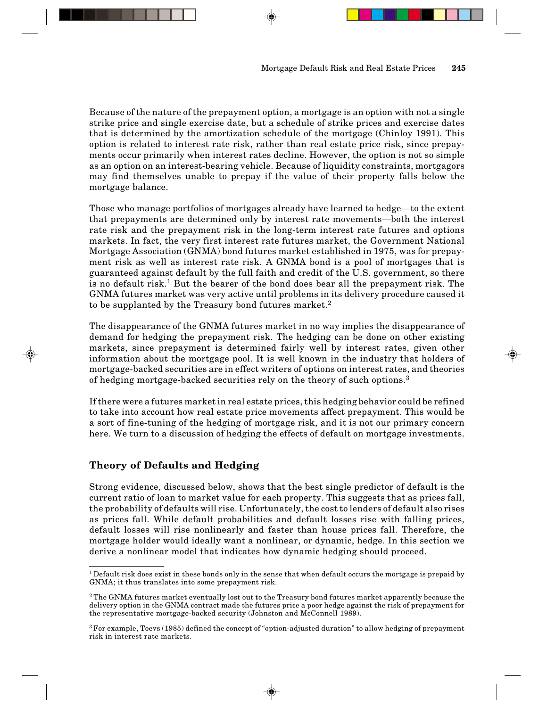Because of the nature of the prepayment option, a mortgage is an option with not a single strike price and single exercise date, but a schedule of strike prices and exercise dates that is determined by the amortization schedule of the mortgage (Chinloy 1991). This option is related to interest rate risk, rather than real estate price risk, since prepayments occur primarily when interest rates decline. However, the option is not so simple as an option on an interest-bearing vehicle. Because of liquidity constraints, mortgagors may find themselves unable to prepay if the value of their property falls below the mortgage balance.

Those who manage portfolios of mortgages already have learned to hedge—to the extent that prepayments are determined only by interest rate movements—both the interest rate risk and the prepayment risk in the long-term interest rate futures and options markets. In fact, the very first interest rate futures market, the Government National Mortgage Association (GNMA) bond futures market established in 1975, was for prepayment risk as well as interest rate risk. A GNMA bond is a pool of mortgages that is guaranteed against default by the full faith and credit of the U.S. government, so there is no default risk.<sup>1</sup> But the bearer of the bond does bear all the prepayment risk. The GNMA futures market was very active until problems in its delivery procedure caused it to be supplanted by the Treasury bond futures market.<sup>2</sup>

The disappearance of the GNMA futures market in no way implies the disappearance of demand for hedging the prepayment risk. The hedging can be done on other existing markets, since prepayment is determined fairly well by interest rates, given other information about the mortgage pool. It is well known in the industry that holders of mortgage-backed securities are in effect writers of options on interest rates, and theories of hedging mortgage-backed securities rely on the theory of such options.<sup>3</sup>

If there were a futures market in real estate prices, this hedging behavior could be refined to take into account how real estate price movements affect prepayment. This would be a sort of fine-tuning of the hedging of mortgage risk, and it is not our primary concern here. We turn to a discussion of hedging the effects of default on mortgage investments.

# **Theory of Defaults and Hedging**

Strong evidence, discussed below, shows that the best single predictor of default is the current ratio of loan to market value for each property. This suggests that as prices fall, the probability of defaults will rise. Unfortunately, the cost to lenders of default also rises as prices fall. While default probabilities and default losses rise with falling prices, default losses will rise nonlinearly and faster than house prices fall. Therefore, the mortgage holder would ideally want a nonlinear, or dynamic, hedge. In this section we derive a nonlinear model that indicates how dynamic hedging should proceed.

 $^1$ Default risk does exist in these bonds only in the sense that when default occurs the mortgage is prepaid by GNMA; it thus translates into some prepayment risk.

<sup>&</sup>lt;sup>2</sup> The GNMA futures market eventually lost out to the Treasury bond futures market apparently because the delivery option in the GNMA contract made the futures price a poor hedge against the risk of prepayment for the representative mortgage-backed security (Johnston and McConnell 1989).

 $3$  For example, Toevs (1985) defined the concept of "option-adjusted duration" to allow hedging of prepayment risk in interest rate markets.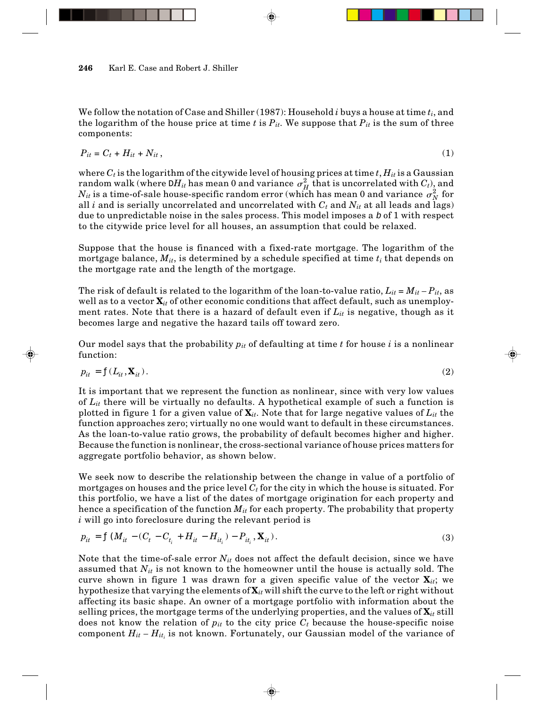We follow the notation of Case and Shiller (1987): Household *i* buys a house at time *ti*, and the logarithm of the house price at time  $t$  is  $P_{it}$ . We suppose that  $P_{it}$  is the sum of three components:

$$
P_{it} = C_t + H_{it} + N_{it},\tag{1}
$$

where  $C_t$  is the logarithm of the citywide level of housing prices at time  $t$ ,  $H_{it}$  is a Gaussian random walk (where  $DH_{it}$  has mean 0 and variance  $\sigma_H^2$  that is uncorrelated with  $C_t$ ), and  $N_{it}$  is a time-of-sale house-specific random error (which has mean 0 and variance  $\sigma_N^2$  for all *i* and is serially uncorrelated and uncorrelated with  $C_t$  and  $N_{it}$  at all leads and lags) due to unpredictable noise in the sales process. This model imposes a  $\mathcal b$  of 1 with respect to the citywide price level for all houses, an assumption that could be relaxed.

Suppose that the house is financed with a fixed-rate mortgage. The logarithm of the mortgage balance, *Mit*, is determined by a schedule specified at time *ti* that depends on the mortgage rate and the length of the mortgage.

The risk of default is related to the logarithm of the loan-to-value ratio,  $L_{it} = M_{it} - P_{it}$ , as well as to a vector  $\mathbf{X}_{it}$  of other economic conditions that affect default, such as unemployment rates. Note that there is a hazard of default even if *Lit* is negative, though as it becomes large and negative the hazard tails off toward zero.

Our model says that the probability *pit* of defaulting at time *t* for house *i* is a nonlinear function:

$$
p_{it} = f(L_{it}, \mathbf{X}_{it}).
$$
\n<sup>(2)</sup>

It is important that we represent the function as nonlinear, since with very low values of *Lit* there will be virtually no defaults. A hypothetical example of such a function is plotted in figure 1 for a given value of **X***it*. Note that for large negative values of *Lit* the function approaches zero; virtually no one would want to default in these circumstances. As the loan-to-value ratio grows, the probability of default becomes higher and higher. Because the function is nonlinear, the cross-sectional variance of house prices matters for aggregate portfolio behavior, as shown below.

We seek now to describe the relationship between the change in value of a portfolio of mortgages on houses and the price level  $C_t$  for the city in which the house is situated. For this portfolio, we have a list of the dates of mortgage origination for each property and hence a specification of the function *Mit* for each property. The probability that property *i* will go into foreclosure during the relevant period is

$$
p_{it} = f(M_{it} - (C_t - C_{t_i} + H_{it} - H_{it_i}) - P_{it_i}, \mathbf{X}_{it}).
$$
\n(3)

Note that the time-of-sale error  $N_{it}$  does not affect the default decision, since we have assumed that  $N_{it}$  is not known to the homeowner until the house is actually sold. The curve shown in figure 1 was drawn for a given specific value of the vector  $\mathbf{X}_{it}$ ; we hypothesize that varying the elements of **X***it* will shift the curve to the left or right without affecting its basic shape. An owner of a mortgage portfolio with information about the selling prices, the mortgage terms of the underlying properties, and the values of  $\mathbf{X}_{it}$  still does not know the relation of  $p_{it}$  to the city price  $C_t$  because the house-specific noise component  $H_{it}$  –  $H_{it_i}$  is not known. Fortunately, our Gaussian model of the variance of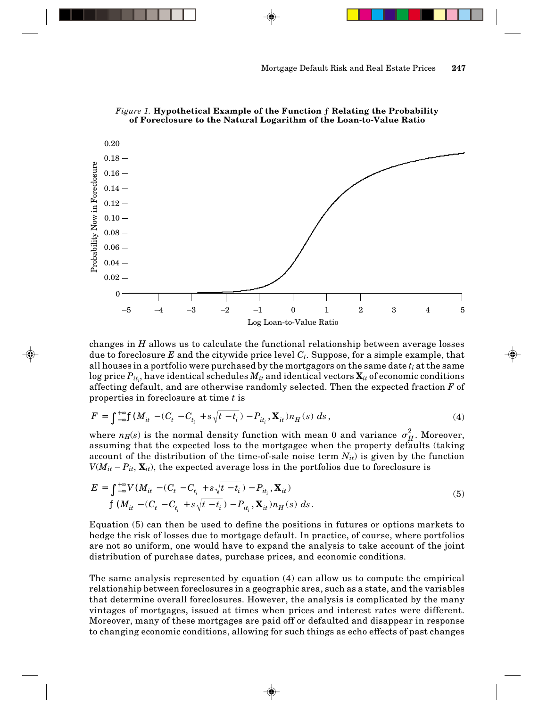

*Figure 1.* **Hypothetical Example of the Function ƒ Relating the Probability of Foreclosure to the Natural Logarithm of the Loan-to-Value Ratio**

changes in *H* allows us to calculate the functional relationship between average losses due to foreclosure *E* and the citywide price level *Ct*. Suppose, for a simple example, that all houses in a portfolio were purchased by the mortgagors on the same date *ti* at the same  $\log$  price  $P_{it_i}$ , have identical schedules  $M_{it}$  and identical vectors  $\mathbf{X}_{it}$  of economic conditions affecting default, and are otherwise randomly selected. Then the expected fraction *F* of properties in foreclosure at time *t* is

$$
F = \int_{-\infty}^{+\infty} f(M_{it} - (C_t - C_{t_i} + s\sqrt{t - t_i}) - P_{it_i}, \mathbf{X}_{it}) n_H(s) \, ds,
$$
\n(4)

where  $n_H(s)$  is the normal density function with mean 0 and variance  $\sigma_H^2$ . Moreover, assuming that the expected loss to the mortgagee when the property defaults (taking account of the distribution of the time-of-sale noise term  $N_{it}$ ) is given by the function  $V(M_{it} - P_{it}, \mathbf{X}_{it})$ , the expected average loss in the portfolios due to foreclosure is

$$
E = \int_{-\infty}^{+\infty} V(M_{it} - (C_t - C_{t_i} + s\sqrt{t - t_i}) - P_{it_i}, \mathbf{X}_{it})
$$
  

$$
f(M_{it} - (C_t - C_{t_i} + s\sqrt{t - t_i}) - P_{it_i}, \mathbf{X}_{it}) n_H(s) ds.
$$
 (5)

Equation (5) can then be used to define the positions in futures or options markets to hedge the risk of losses due to mortgage default. In practice, of course, where portfolios are not so uniform, one would have to expand the analysis to take account of the joint distribution of purchase dates, purchase prices, and economic conditions.

The same analysis represented by equation (4) can allow us to compute the empirical relationship between foreclosures in a geographic area, such as a state, and the variables that determine overall foreclosures. However, the analysis is complicated by the many vintages of mortgages, issued at times when prices and interest rates were different. Moreover, many of these mortgages are paid off or defaulted and disappear in response to changing economic conditions, allowing for such things as echo effects of past changes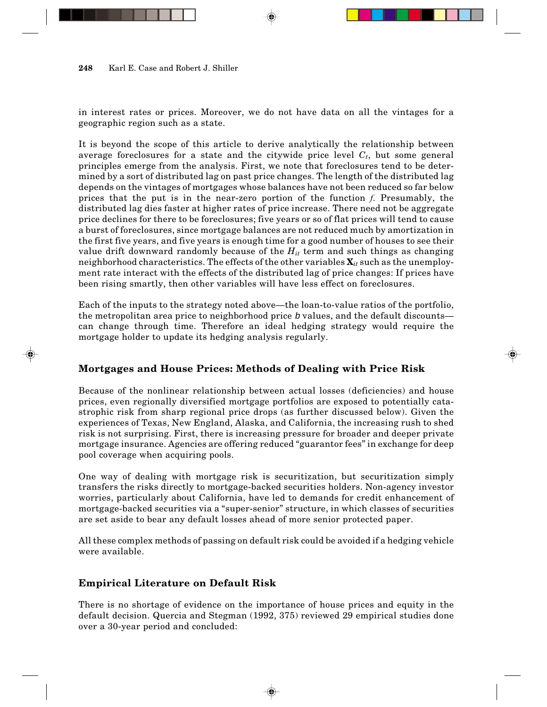in interest rates or prices. Moreover, we do not have data on all the vintages for a geographic region such as a state.

It is beyond the scope of this article to derive analytically the relationship between average foreclosures for a state and the citywide price level  $C_t$ , but some general principles emerge from the analysis. First, we note that foreclosures tend to be determined by a sort of distributed lag on past price changes. The length of the distributed lag depends on the vintages of mortgages whose balances have not been reduced so far below prices that the put is in the near-zero portion of the function *f*. Presumably, the distributed lag dies faster at higher rates of price increase. There need not be aggregate price declines for there to be foreclosures; five years or so of flat prices will tend to cause a burst of foreclosures, since mortgage balances are not reduced much by amortization in the first five years, and five years is enough time for a good number of houses to see their value drift downward randomly because of the  $H_{it}$  term and such things as changing neighborhood characteristics. The effects of the other variables **X***it* such as the unemployment rate interact with the effects of the distributed lag of price changes: If prices have been rising smartly, then other variables will have less effect on foreclosures.

Each of the inputs to the strategy noted above—the loan-to-value ratios of the portfolio, the metropolitan area price to neighborhood price b values, and the default discounts can change through time. Therefore an ideal hedging strategy would require the mortgage holder to update its hedging analysis regularly.

# **Mortgages and House Prices: Methods of Dealing with Price Risk**

Because of the nonlinear relationship between actual losses (deficiencies) and house prices, even regionally diversified mortgage portfolios are exposed to potentially catastrophic risk from sharp regional price drops (as further discussed below). Given the experiences of Texas, New England, Alaska, and California, the increasing rush to shed risk is not surprising. First, there is increasing pressure for broader and deeper private mortgage insurance. Agencies are offering reduced "guarantor fees" in exchange for deep pool coverage when acquiring pools.

One way of dealing with mortgage risk is securitization, but securitization simply transfers the risks directly to mortgage-backed securities holders. Non-agency investor worries, particularly about California, have led to demands for credit enhancement of mortgage-backed securities via a "super-senior" structure, in which classes of securities are set aside to bear any default losses ahead of more senior protected paper.

All these complex methods of passing on default risk could be avoided if a hedging vehicle were available.

# **Empirical Literature on Default Risk**

There is no shortage of evidence on the importance of house prices and equity in the default decision. Quercia and Stegman (1992, 375) reviewed 29 empirical studies done over a 30-year period and concluded: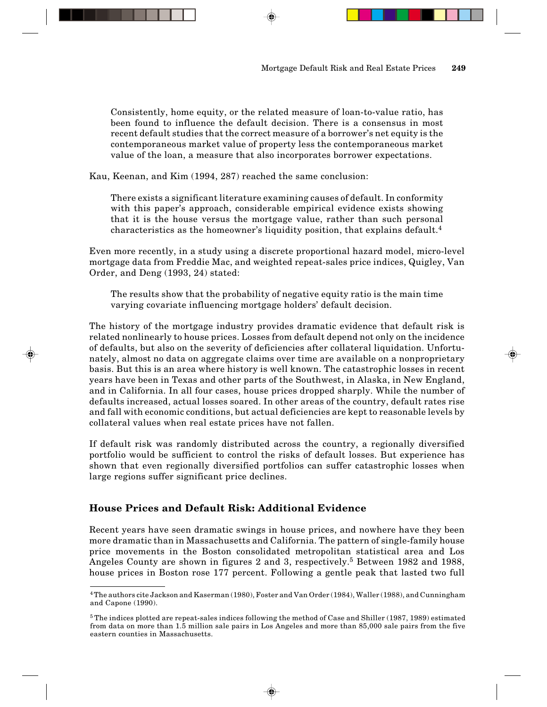Consistently, home equity, or the related measure of loan-to-value ratio, has been found to influence the default decision. There is a consensus in most recent default studies that the correct measure of a borrower's net equity is the contemporaneous market value of property less the contemporaneous market value of the loan, a measure that also incorporates borrower expectations.

Kau, Keenan, and Kim (1994, 287) reached the same conclusion:

There exists a significant literature examining causes of default. In conformity with this paper's approach, considerable empirical evidence exists showing that it is the house versus the mortgage value, rather than such personal characteristics as the homeowner's liquidity position, that explains default.<sup>4</sup>

Even more recently, in a study using a discrete proportional hazard model, micro-level mortgage data from Freddie Mac, and weighted repeat-sales price indices, Quigley, Van Order, and Deng (1993, 24) stated:

The results show that the probability of negative equity ratio is the main time varying covariate influencing mortgage holders' default decision.

The history of the mortgage industry provides dramatic evidence that default risk is related nonlinearly to house prices. Losses from default depend not only on the incidence of defaults, but also on the severity of deficiencies after collateral liquidation. Unfortunately, almost no data on aggregate claims over time are available on a nonproprietary basis. But this is an area where history is well known. The catastrophic losses in recent years have been in Texas and other parts of the Southwest, in Alaska, in New England, and in California. In all four cases, house prices dropped sharply. While the number of defaults increased, actual losses soared. In other areas of the country, default rates rise and fall with economic conditions, but actual deficiencies are kept to reasonable levels by collateral values when real estate prices have not fallen.

If default risk was randomly distributed across the country, a regionally diversified portfolio would be sufficient to control the risks of default losses. But experience has shown that even regionally diversified portfolios can suffer catastrophic losses when large regions suffer significant price declines.

## **House Prices and Default Risk: Additional Evidence**

Recent years have seen dramatic swings in house prices, and nowhere have they been more dramatic than in Massachusetts and California. The pattern of single-family house price movements in the Boston consolidated metropolitan statistical area and Los Angeles County are shown in figures 2 and 3, respectively.<sup>5</sup> Between 1982 and 1988, house prices in Boston rose 177 percent. Following a gentle peak that lasted two full

<sup>4</sup> The authors cite Jackson and Kaserman (1980), Foster and Van Order (1984), Waller (1988), and Cunningham and Capone (1990).

<sup>5</sup> The indices plotted are repeat-sales indices following the method of Case and Shiller (1987, 1989) estimated from data on more than 1.5 million sale pairs in Los Angeles and more than 85,000 sale pairs from the five eastern counties in Massachusetts.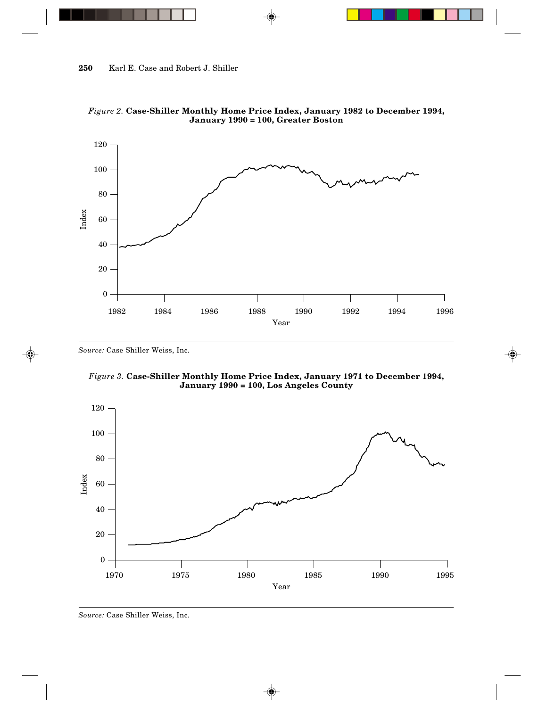

*Figure 2.* **Case-Shiller Monthly Home Price Index, January 1982 to December 1994, January 1990 = 100, Greater Boston**

*Source:* Case Shiller Weiss, Inc.





#### *Source:* Case Shiller Weiss, Inc.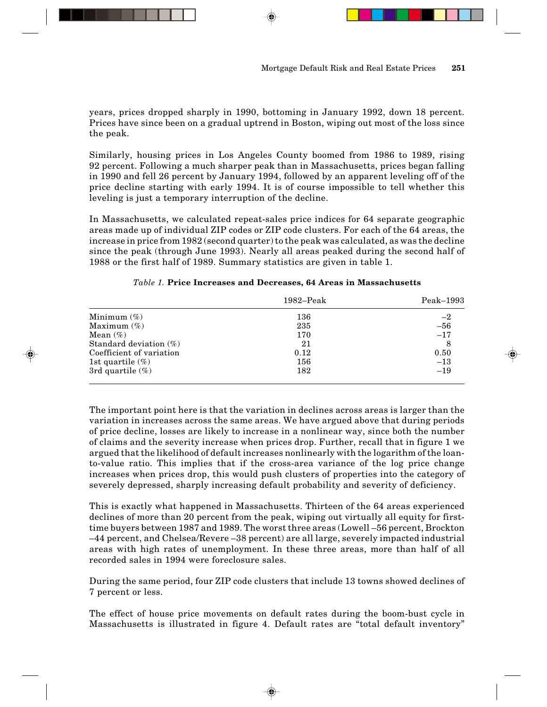years, prices dropped sharply in 1990, bottoming in January 1992, down 18 percent. Prices have since been on a gradual uptrend in Boston, wiping out most of the loss since the peak.

Similarly, housing prices in Los Angeles County boomed from 1986 to 1989, rising 92 percent. Following a much sharper peak than in Massachusetts, prices began falling in 1990 and fell 26 percent by January 1994, followed by an apparent leveling off of the price decline starting with early 1994. It is of course impossible to tell whether this leveling is just a temporary interruption of the decline.

In Massachusetts, we calculated repeat-sales price indices for 64 separate geographic areas made up of individual ZIP codes or ZIP code clusters. For each of the 64 areas, the increase in price from 1982 (second quarter) to the peak was calculated, as was the decline since the peak (through June 1993). Nearly all areas peaked during the second half of 1988 or the first half of 1989. Summary statistics are given in table 1.

|                           | $1982 - Peak$ | $Peak-1993$ |
|---------------------------|---------------|-------------|
| Minimum $(\%)$            | 136           | $-2$        |
| Maximum $(\%)$            | 235           | $-56$       |
| Mean $(\%)$               | 170           | $-17$       |
| Standard deviation $(\%)$ | 21            |             |
| Coefficient of variation  | 0.12          | 0.50        |
| 1st quartile $(\%)$       | 156           | $-13$       |
| 3rd quartile $(\%)$       | 182           | $-19$       |

### *Table 1.* **Price Increases and Decreases, 64 Areas in Massachusetts**

The important point here is that the variation in declines across areas is larger than the variation in increases across the same areas. We have argued above that during periods of price decline, losses are likely to increase in a nonlinear way, since both the number of claims and the severity increase when prices drop. Further, recall that in figure 1 we argued that the likelihood of default increases nonlinearly with the logarithm of the loanto-value ratio. This implies that if the cross-area variance of the log price change increases when prices drop, this would push clusters of properties into the category of severely depressed, sharply increasing default probability and severity of deficiency.

This is exactly what happened in Massachusetts. Thirteen of the 64 areas experienced declines of more than 20 percent from the peak, wiping out virtually all equity for firsttime buyers between 1987 and 1989. The worst three areas (Lowell –56 percent, Brockton –44 percent, and Chelsea/Revere –38 percent) are all large, severely impacted industrial areas with high rates of unemployment. In these three areas, more than half of all recorded sales in 1994 were foreclosure sales.

During the same period, four ZIP code clusters that include 13 towns showed declines of 7 percent or less.

The effect of house price movements on default rates during the boom-bust cycle in Massachusetts is illustrated in figure 4. Default rates are "total default inventory"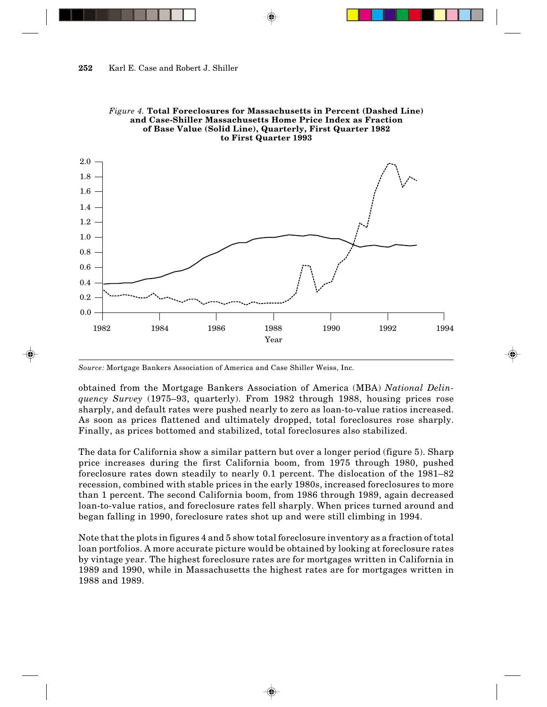

*Figure 4.* **Total Foreclosures for Massachusetts in Percent (Dashed Line) and Case-Shiller Massachusetts Home Price Index as Fraction of Base Value (Solid Line), Quarterly, First Quarter 1982 to First Quarter 1993**

*Source:* Mortgage Bankers Association of America and Case Shiller Weiss, Inc.

obtained from the Mortgage Bankers Association of America (MBA) *National Delinquency Survey* (1975–93, quarterly). From 1982 through 1988, housing prices rose sharply, and default rates were pushed nearly to zero as loan-to-value ratios increased. As soon as prices flattened and ultimately dropped, total foreclosures rose sharply. Finally, as prices bottomed and stabilized, total foreclosures also stabilized.

The data for California show a similar pattern but over a longer period (figure 5). Sharp price increases during the first California boom, from 1975 through 1980, pushed foreclosure rates down steadily to nearly 0.1 percent. The dislocation of the 1981–82 recession, combined with stable prices in the early 1980s, increased foreclosures to more than 1 percent. The second California boom, from 1986 through 1989, again decreased loan-to-value ratios, and foreclosure rates fell sharply. When prices turned around and began falling in 1990, foreclosure rates shot up and were still climbing in 1994.

Note that the plots in figures 4 and 5 show total foreclosure inventory as a fraction of total loan portfolios. A more accurate picture would be obtained by looking at foreclosure rates by vintage year. The highest foreclosure rates are for mortgages written in California in 1989 and 1990, while in Massachusetts the highest rates are for mortgages written in 1988 and 1989.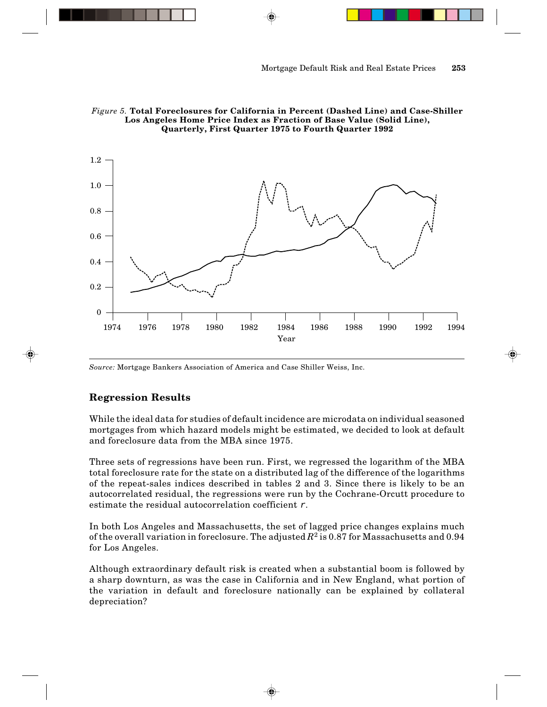



*Source:* Mortgage Bankers Association of America and Case Shiller Weiss, Inc.

## **Regression Results**

While the ideal data for studies of default incidence are microdata on individual seasoned mortgages from which hazard models might be estimated, we decided to look at default and foreclosure data from the MBA since 1975.

Three sets of regressions have been run. First, we regressed the logarithm of the MBA total foreclosure rate for the state on a distributed lag of the difference of the logarithms of the repeat-sales indices described in tables 2 and 3. Since there is likely to be an autocorrelated residual, the regressions were run by the Cochrane-Orcutt procedure to estimate the residual autocorrelation coefficient  $r$ .

In both Los Angeles and Massachusetts, the set of lagged price changes explains much of the overall variation in foreclosure. The adjusted  $R^2$  is 0.87 for Massachusetts and 0.94 for Los Angeles.

Although extraordinary default risk is created when a substantial boom is followed by a sharp downturn, as was the case in California and in New England, what portion of the variation in default and foreclosure nationally can be explained by collateral depreciation?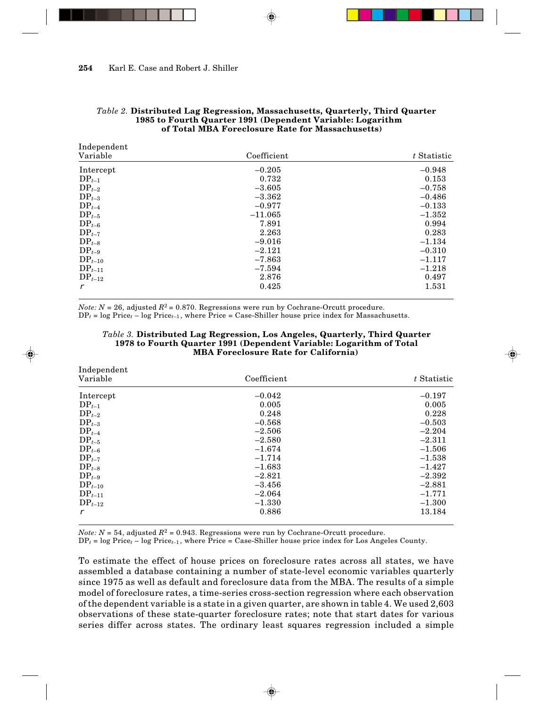| Independent |             |  |  |
|-------------|-------------|--|--|
| Coefficient | t Statistic |  |  |
| $-0.205$    | $-0.948$    |  |  |
| 0.732       | 0.153       |  |  |
| $-3.605$    | $-0.758$    |  |  |
| $-3.362$    | $-0.486$    |  |  |
| $-0.977$    | $-0.133$    |  |  |
| $-11.065$   | $-1.352$    |  |  |
| 7.891       | 0.994       |  |  |
| 2.263       | 0.283       |  |  |
| $-9.016$    | $-1.134$    |  |  |
| $-2.121$    | $-0.310$    |  |  |
| $-7.863$    | $-1.117$    |  |  |
| $-7.594$    | $-1.218$    |  |  |
| 2.876       | 0.497       |  |  |
| 0.425       | 1.531       |  |  |
|             |             |  |  |

### *Table 2.* **Distributed Lag Regression, Massachusetts, Quarterly, Third Quarter 1985 to Fourth Quarter 1991 (Dependent Variable: Logarithm of Total MBA Foreclosure Rate for Massachusetts)**

*Note: N* = 26, adjusted  $R^2$  = 0.870. Regressions were run by Cochrane-Orcutt procedure.

 $DP<sub>t</sub> = log Price<sub>t</sub> - log Price<sub>t-1</sub>$ , where Price = Case-Shiller house price index for Massachusetts.

### *Table 3.* **Distributed Lag Regression, Los Angeles, Quarterly, Third Quarter 1978 to Fourth Quarter 1991 (Dependent Variable: Logarithm of Total MBA Foreclosure Rate for California)**

| Independent<br>Variable | Coefficient | t Statistic |
|-------------------------|-------------|-------------|
| Intercept               | $-0.042$    | $-0.197$    |
| $DP_{t-1}$              | 0.005       | 0.005       |
| $DP_{t-2}$              | 0.248       | 0.228       |
| $DP_{t-3}$              | $-0.568$    | $-0.503$    |
| $DP_{t-4}$              | $-2.506$    | $-2.204$    |
| $DP_{t-5}$              | $-2.580$    | $-2.311$    |
| $DP_{t-6}$              | $-1.674$    | $-1.506$    |
| $DP_{t-7}$              | $-1.714$    | $-1.538$    |
| $DP_{t-8}$              | $-1.683$    | $-1.427$    |
| $DP_{t-9}$              | $-2.821$    | $-2.392$    |
| $DP_{t-10}$             | $-3.456$    | $-2.881$    |
| $DP_{t-11}$             | $-2.064$    | $-1.771$    |
| $DP_{t-12}$             | $-1.330$    | $-1.300$    |
| r                       | 0.886       | 13.184      |

*Note: N* = 54, adjusted  $R^2$  = 0.943. Regressions were run by Cochrane-Orcutt procedure.

 $DP<sub>t</sub> = log Price<sub>t</sub> - log Price<sub>t-1</sub>$ , where Price = Case-Shiller house price index for Los Angeles County.

To estimate the effect of house prices on foreclosure rates across all states, we have assembled a database containing a number of state-level economic variables quarterly since 1975 as well as default and foreclosure data from the MBA. The results of a simple model of foreclosure rates, a time-series cross-section regression where each observation of the dependent variable is a state in a given quarter, are shown in table 4. We used 2,603 observations of these state-quarter foreclosure rates; note that start dates for various series differ across states. The ordinary least squares regression included a simple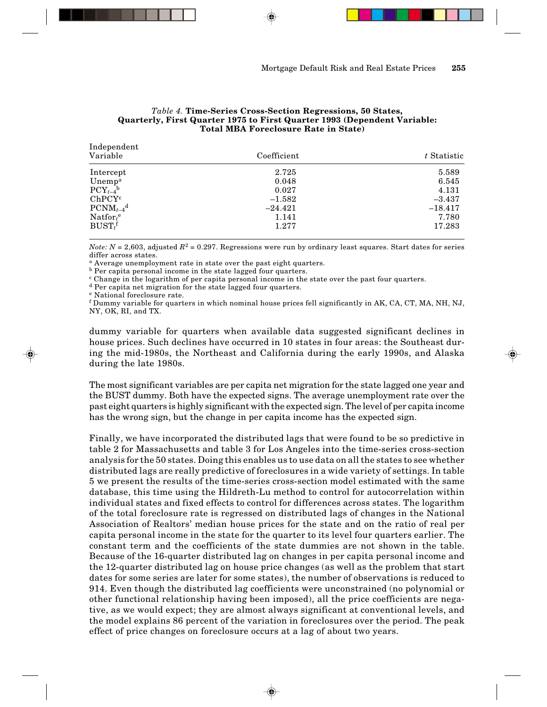### *Table 4.* **Time-Series Cross-Section Regressions, 50 States, Quarterly, First Quarter 1975 to First Quarter 1993 (Dependent Variable: Total MBA Foreclosure Rate in State)**

| Independent<br>Variable   | Coefficient | t Statistic |
|---------------------------|-------------|-------------|
| Intercept                 | 2.725       | 5.589       |
| Unemp <sup>a</sup>        | 0.048       | 6.545       |
| $PCY_{t-4}$ <sup>b</sup>  | 0.027       | 4.131       |
| ChPCY <sup>c</sup>        | $-1.582$    | $-3.437$    |
| $PCNM_{t-4}$ <sup>d</sup> | $-24.421$   | $-18.417$   |
| Nation <sup>e</sup>       | 1.141       | 7.780       |
| $BUST_t^f$                | 1.277       | 17.283      |

*Note:*  $N = 2,603$ , adjusted  $R^2 = 0.297$ . Regressions were run by ordinary least squares. Start dates for series differ across states.

a Average unemployment rate in state over the past eight quarters.

b Per capita personal income in the state lagged four quarters. c Change in the logarithm of per capita personal income in the state over the past four quarters.

d Per capita net migration for the state lagged four quarters.

e National foreclosure rate.

 $^{\rm f}$  Dummy variable for quarters in which nominal house prices fell significantly in AK, CA, CT, MA, NH, NJ, NY, OK, RI, and TX.

dummy variable for quarters when available data suggested significant declines in house prices. Such declines have occurred in 10 states in four areas: the Southeast during the mid-1980s, the Northeast and California during the early 1990s, and Alaska during the late 1980s.

The most significant variables are per capita net migration for the state lagged one year and the BUST dummy. Both have the expected signs. The average unemployment rate over the past eight quarters is highly significant with the expected sign. The level of per capita income has the wrong sign, but the change in per capita income has the expected sign.

Finally, we have incorporated the distributed lags that were found to be so predictive in table 2 for Massachusetts and table 3 for Los Angeles into the time-series cross-section analysis for the 50 states. Doing this enables us to use data on all the states to see whether distributed lags are really predictive of foreclosures in a wide variety of settings. In table 5 we present the results of the time-series cross-section model estimated with the same database, this time using the Hildreth-Lu method to control for autocorrelation within individual states and fixed effects to control for differences across states. The logarithm of the total foreclosure rate is regressed on distributed lags of changes in the National Association of Realtors' median house prices for the state and on the ratio of real per capita personal income in the state for the quarter to its level four quarters earlier. The constant term and the coefficients of the state dummies are not shown in the table. Because of the 16-quarter distributed lag on changes in per capita personal income and the 12-quarter distributed lag on house price changes (as well as the problem that start dates for some series are later for some states), the number of observations is reduced to 914. Even though the distributed lag coefficients were unconstrained (no polynomial or other functional relationship having been imposed), all the price coefficients are negative, as we would expect; they are almost always significant at conventional levels, and the model explains 86 percent of the variation in foreclosures over the period. The peak effect of price changes on foreclosure occurs at a lag of about two years.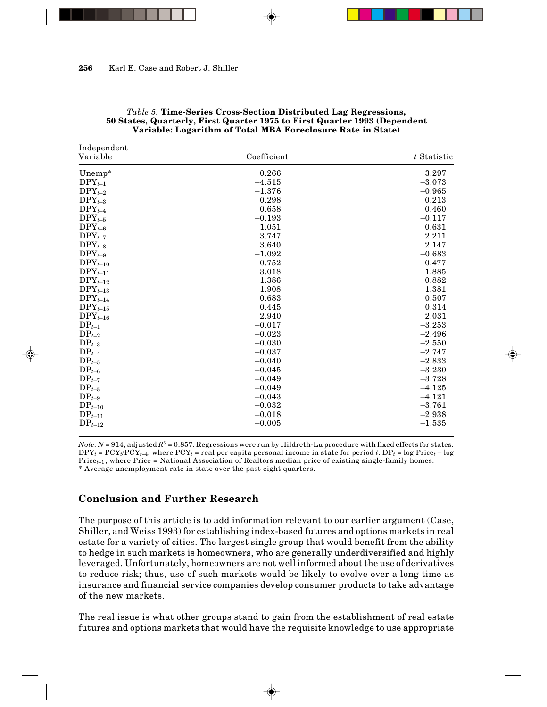Independent

| muepenuent<br>Variable | Coefficient | t Statistic |
|------------------------|-------------|-------------|
| Unemp*                 | 0.266       | 3.297       |
| $DPY_{t-1}$            | $-4.515$    | $-3.073$    |
| $DPY_{t-2}$            | $-1.376$    | $-0.965$    |
| $DPY_{t-3}$            | 0.298       | 0.213       |
| $DPY_{t-4}$            | 0.658       | 0.460       |
| $DPY_{t-5}$            | $-0.193$    | $-0.117$    |
| $DPY_{t-6}$            | 1.051       | 0.631       |
| $DPY_{t-7}$            | 3.747       | 2.211       |
| $DPY_{t-8}$            | 3.640       | 2.147       |
| $DPY_{t-9}$            | $-1.092$    | $-0.683$    |
| $DPY_{t-10}$           | 0.752       | 0.477       |
| $DPY_{t-11}$           | 3.018       | 1.885       |
| $DPY_{t-12}$           | 1.386       | 0.882       |
| $DPY_{t-13}$           | 1.908       | 1.381       |
| $DPY_{t-14}$           | 0.683       | 0.507       |
| $DPY_{t-15}$           | 0.445       | 0.314       |
| $DPY_{t-16}$           | 2.940       | 2.031       |
| $DP_{t-1}$             | $-0.017$    | $-3.253$    |
| $DP_{t-2}$             | $-0.023$    | $-2.496$    |
| $DP_{t-3}$             | $-0.030$    | $-2.550$    |
| $DP_{t-4}$             | $-0.037$    | $-2.747$    |
| $DP_{t-5}$             | $-0.040$    | $-2.833$    |
| $DP_{t-6}$             | $-0.045$    | $-3.230$    |
| $DP_{t-7}$             | $-0.049$    | $-3.728$    |
| $DP_{t-8}$             | $-0.049$    | $-4.125$    |
| $DP_{t-9}$             | $-0.043$    | $-4.121$    |
| $\text{DP}_{t-10}$     | $-0.032$    | $-3.761$    |
| $DP_{t-11}$            | $-0.018$    | $-2.938$    |
| $\text{DP}_{t-12}$     | $-0.005$    | $-1.535$    |

#### *Table 5.* **Time-Series Cross-Section Distributed Lag Regressions, 50 States, Quarterly, First Quarter 1975 to First Quarter 1993 (Dependent Variable: Logarithm of Total MBA Foreclosure Rate in State)**

*Note: N* = 914, adjusted  $R^2$  = 0.857. Regressions were run by Hildreth-Lu procedure with fixed effects for states.  $DPY_t = PCY_t/PCY_{t-4}$ , where  $PCY_t$  = real per capita personal income in state for period *t*.  $DP_t = log Price_t - log$  $Price_{t-1}$ , where Price = National Association of Realtors median price of existing single-family homes. \* Average unemployment rate in state over the past eight quarters.

## **Conclusion and Further Research**

The purpose of this article is to add information relevant to our earlier argument (Case, Shiller, and Weiss 1993) for establishing index-based futures and options markets in real estate for a variety of cities. The largest single group that would benefit from the ability to hedge in such markets is homeowners, who are generally underdiversified and highly leveraged. Unfortunately, homeowners are not well informed about the use of derivatives to reduce risk; thus, use of such markets would be likely to evolve over a long time as insurance and financial service companies develop consumer products to take advantage of the new markets.

The real issue is what other groups stand to gain from the establishment of real estate futures and options markets that would have the requisite knowledge to use appropriate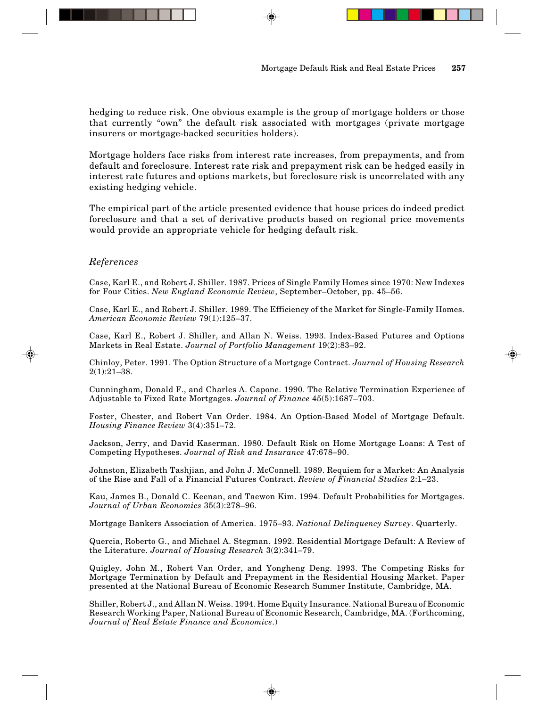hedging to reduce risk. One obvious example is the group of mortgage holders or those that currently "own" the default risk associated with mortgages (private mortgage insurers or mortgage-backed securities holders).

Mortgage holders face risks from interest rate increases, from prepayments, and from default and foreclosure. Interest rate risk and prepayment risk can be hedged easily in interest rate futures and options markets, but foreclosure risk is uncorrelated with any existing hedging vehicle.

The empirical part of the article presented evidence that house prices do indeed predict foreclosure and that a set of derivative products based on regional price movements would provide an appropriate vehicle for hedging default risk.

## *References*

Case, Karl E., and Robert J. Shiller. 1987. Prices of Single Family Homes since 1970: New Indexes for Four Cities. *New England Economic Review*, September–October, pp. 45–56.

Case, Karl E., and Robert J. Shiller. 1989. The Efficiency of the Market for Single-Family Homes. *American Economic Review* 79(1):125–37.

Case, Karl E., Robert J. Shiller, and Allan N. Weiss. 1993. Index-Based Futures and Options Markets in Real Estate. *Journal of Portfolio Management* 19(2):83–92.

Chinloy, Peter. 1991. The Option Structure of a Mortgage Contract. *Journal of Housing Research* 2(1):21–38.

Cunningham, Donald F., and Charles A. Capone. 1990. The Relative Termination Experience of Adjustable to Fixed Rate Mortgages. *Journal of Finance* 45(5):1687–703.

Foster, Chester, and Robert Van Order. 1984. An Option-Based Model of Mortgage Default. *Housing Finance Review* 3(4):351–72.

Jackson, Jerry, and David Kaserman. 1980. Default Risk on Home Mortgage Loans: A Test of Competing Hypotheses. *Journal of Risk and Insurance* 47:678–90.

Johnston, Elizabeth Tashjian, and John J. McConnell. 1989. Requiem for a Market: An Analysis of the Rise and Fall of a Financial Futures Contract. *Review of Financial Studies* 2:1–23.

Kau, James B., Donald C. Keenan, and Taewon Kim. 1994. Default Probabilities for Mortgages. *Journal of Urban Economics* 35(3):278–96.

Mortgage Bankers Association of America. 1975–93. *National Delinquency Survey*. Quarterly.

Quercia, Roberto G., and Michael A. Stegman. 1992. Residential Mortgage Default: A Review of the Literature. *Journal of Housing Research* 3(2):341–79.

Quigley, John M., Robert Van Order, and Yongheng Deng. 1993. The Competing Risks for Mortgage Termination by Default and Prepayment in the Residential Housing Market. Paper presented at the National Bureau of Economic Research Summer Institute, Cambridge, MA.

Shiller, Robert J., and Allan N. Weiss. 1994. Home Equity Insurance. National Bureau of Economic Research Working Paper, National Bureau of Economic Research, Cambridge, MA. (Forthcoming, *Journal of Real Estate Finance and Economics*.)